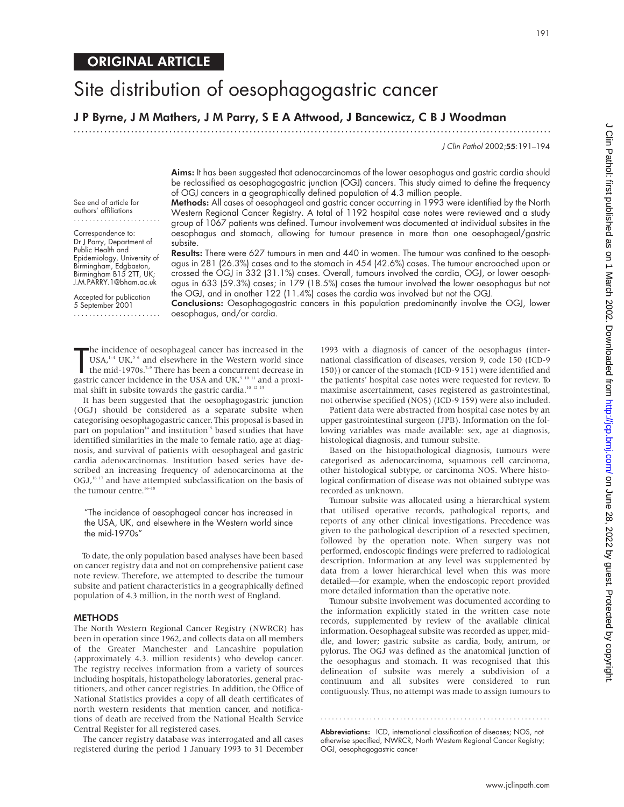# ORIGINAL ARTICLE

# Site distribution of oesophagogastric cancer

## J P Byrne, J M Mathers, J M Parry, S E A Attwood, J Bancewicz, C B J Woodman

.............................................................................................................................

J Clin Pathol 2002;55:191–194

Aims: It has been suggested that adenocarcinomas of the lower oesophagus and gastric cardia should be reclassified as oesophagogastric junction (OGJ) cancers. This study aimed to define the frequency of OGJ cancers in a geographically defined population of 4.3 million people. Methods: All cases of oesophageal and gastric cancer occurring in 1993 were identified by the North

Western Regional Cancer Registry. A total of 1192 hospital case notes were reviewed and a study group of 1067 patients was defined. Tumour involvement was documented at individual subsites in the oesophagus and stomach, allowing for tumour presence in more than one oesophageal/gastric

Results: There were 627 tumours in men and 440 in women. The tumour was confined to the oesophagus in 281 (26.3%) cases and to the stomach in 454 (42.6%) cases. The tumour encroached upon or crossed the OGJ in 332 (31.1%) cases. Overall, tumours involved the cardia, OGJ, or lower oesophagus in 633 (59.3%) cases; in 179 (18.5%) cases the tumour involved the lower oesophagus but not

the OGJ, and in another 122 (11.4%) cases the cardia was involved but not the OGJ.

See end of article for authors' affiliations

Correspondence to: Dr J Parry, Department of Public Health and Epidemiology, University of Birmingham, Edgbaston, Birmingham B15 2TT, UK; J.M.PARRY.1@bham.ac.uk

Accepted for publication 5 September 2001 .......................

Conclusions: Oesophagogastric cancers in this population predominantly involve the OGJ, lower oesophagus, and/or cardia.

The incidence of oesophageal cancer has increased in the USA,<sup>1-4</sup> UK,<sup>5</sup> and elsewhere in the Western world since the mid-1970s.<sup>7-9</sup> There has been a concurrent decrease in gastric cancer incidence in the USA and UK,<sup>5 1</sup> he incidence of oesophageal cancer has increased in the  $USA<sup>1-4</sup> UK<sup>5-6</sup>$  and elsewhere in the Western world since the mid-1970s.<sup>7-9</sup> There has been a concurrent decrease in mal shift in subsite towards the gastric cardia.<sup>10 12 13</sup>

subsite.

It has been suggested that the oesophagogastric junction (OGJ) should be considered as a separate subsite when categorising oesophagogastric cancer. This proposal is based in part on population<sup>14</sup> and institution<sup>15</sup> based studies that have identified similarities in the male to female ratio, age at diagnosis, and survival of patients with oesophageal and gastric cardia adenocarcinomas. Institution based series have described an increasing frequency of adenocarcinoma at the OGJ,<sup>16 17</sup> and have attempted subclassification on the basis of the tumour centre.<sup>16-18</sup>

"The incidence of oesophageal cancer has increased in the USA, UK, and elsewhere in the Western world since the mid-1970s"

To date, the only population based analyses have been based on cancer registry data and not on comprehensive patient case note review. Therefore, we attempted to describe the tumour subsite and patient characteristics in a geographically defined population of 4.3 million, in the north west of England.

#### METHODS

The North Western Regional Cancer Registry (NWRCR) has been in operation since 1962, and collects data on all members of the Greater Manchester and Lancashire population (approximately 4.3. million residents) who develop cancer. The registry receives information from a variety of sources including hospitals, histopathology laboratories, general practitioners, and other cancer registries. In addition, the Office of National Statistics provides a copy of all death certificates of north western residents that mention cancer, and notifications of death are received from the National Health Service Central Register for all registered cases.

The cancer registry database was interrogated and all cases registered during the period 1 January 1993 to 31 December

1993 with a diagnosis of cancer of the oesophagus (international classification of diseases, version 9, code 150 (ICD-9 150)) or cancer of the stomach (ICD-9 151) were identified and the patients' hospital case notes were requested for review. To maximise ascertainment, cases registered as gastrointestinal, not otherwise specified (NOS) (ICD-9 159) were also included.

Patient data were abstracted from hospital case notes by an upper gastrointestinal surgeon (JPB). Information on the following variables was made available: sex, age at diagnosis, histological diagnosis, and tumour subsite.

Based on the histopathological diagnosis, tumours were categorised as adenocarcinoma, squamous cell carcinoma, other histological subtype, or carcinoma NOS. Where histological confirmation of disease was not obtained subtype was recorded as unknown.

Tumour subsite was allocated using a hierarchical system that utilised operative records, pathological reports, and reports of any other clinical investigations. Precedence was given to the pathological description of a resected specimen, followed by the operation note. When surgery was not performed, endoscopic findings were preferred to radiological description. Information at any level was supplemented by data from a lower hierarchical level when this was more detailed—for example, when the endoscopic report provided more detailed information than the operative note.

Tumour subsite involvement was documented according to the information explicitly stated in the written case note records, supplemented by review of the available clinical information. Oesophageal subsite was recorded as upper, middle, and lower; gastric subsite as cardia, body, antrum, or pylorus. The OGJ was defined as the anatomical junction of the oesophagus and stomach. It was recognised that this delineation of subsite was merely a subdivision of a continuum and all subsites were considered to run contiguously. Thus, no attempt was made to assign tumours to

Abbreviations: ICD, international classification of diseases; NOS, not otherwise specified, NWRCR, North Western Regional Cancer Registry; OGJ, oesophagogastric cancer

.............................................................

J Clin Pathol: first published as on 1 March 2002. Downloaded from http://jcp.bmj.com/ on June 28, 2022 by guest. Protected by copyright ) Gine 2022 by guest Protected by guests published as 28, 2022 by guests published in the reduced by 2002. Downloaded by 2002. Downloaded by 2002. Downloaded by a from 1 Mathol: first published as on 1 March 2002. Download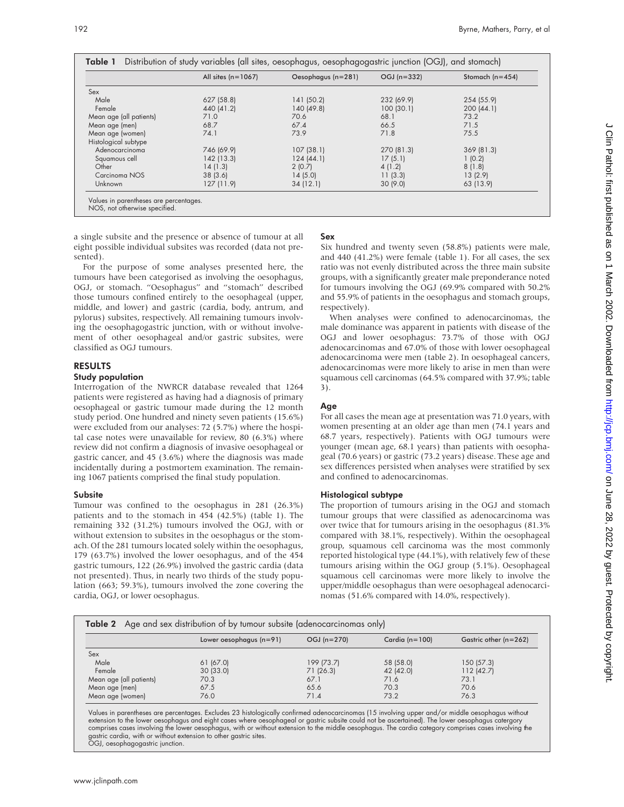|                         | All sites $(n=1067)$ | Oesophagus (n=281) | $OGJ(n=332)$ | Stomach ( $n=454$ ) |
|-------------------------|----------------------|--------------------|--------------|---------------------|
| Sex                     |                      |                    |              |                     |
| Male                    | 627 (58.8)           | 141(50.2)          | 232 (69.9)   | 254 (55.9)          |
| Female                  | 440 (41.2)           | 140 (49.8)         | 100(30.1)    | 200(44.1)           |
| Mean age (all patients) | 71.0                 | 70.6               | 68.1         | 73.2                |
| Mean age (men)          | 68.7                 | 67.4               | 66.5         | 71.5                |
| Mean age (women)        | 74.1                 | 73.9               | 71.8         | 75.5                |
| Histological subtype    |                      |                    |              |                     |
| Adenocarcinoma          | 746 (69.9)           | 107(38.1)          | 270 (81.3)   | 369(81.3)           |
| Squamous cell           | 142(13.3)            | 124(44.1)          | 17(5.1)      | 1(0.2)              |
| Other                   | 14(1.3)              | 2(0.7)             | 4(1.2)       | 8(1.8)              |
| Carcinoma NOS           | 38(3.6)              | 14(5.0)            | 11(3.3)      | 13(2.9)             |
| Unknown                 | 127(11.9)            | 34(12.1)           | 30(9.0)      | 63 (13.9)           |

a single subsite and the presence or absence of tumour at all eight possible individual subsites was recorded (data not presented).

For the purpose of some analyses presented here, the tumours have been categorised as involving the oesophagus, OGJ, or stomach. "Oesophagus" and "stomach" described those tumours confined entirely to the oesophageal (upper, middle, and lower) and gastric (cardia, body, antrum, and pylorus) subsites, respectively. All remaining tumours involving the oesophagogastric junction, with or without involvement of other oesophageal and/or gastric subsites, were classified as OGJ tumours.

#### RESULTS

#### Study population

Interrogation of the NWRCR database revealed that 1264 patients were registered as having had a diagnosis of primary oesophageal or gastric tumour made during the 12 month study period. One hundred and ninety seven patients (15.6%) were excluded from our analyses: 72 (5.7%) where the hospital case notes were unavailable for review, 80 (6.3%) where review did not confirm a diagnosis of invasive oesophageal or gastric cancer, and 45 (3.6%) where the diagnosis was made incidentally during a postmortem examination. The remaining 1067 patients comprised the final study population.

#### **Subsite**

Tumour was confined to the oesophagus in 281 (26.3%) patients and to the stomach in 454 (42.5%) (table 1). The remaining 332 (31.2%) tumours involved the OGJ, with or without extension to subsites in the oesophagus or the stomach. Of the 281 tumours located solely within the oesophagus, 179 (63.7%) involved the lower oesophagus, and of the 454 gastric tumours, 122 (26.9%) involved the gastric cardia (data not presented). Thus, in nearly two thirds of the study population (663; 59.3%), tumours involved the zone covering the cardia, OGJ, or lower oesophagus.

### Sex

Six hundred and twenty seven (58.8%) patients were male, and 440 (41.2%) were female (table 1). For all cases, the sex ratio was not evenly distributed across the three main subsite groups, with a significantly greater male preponderance noted for tumours involving the OGJ (69.9% compared with 50.2% and 55.9% of patients in the oesophagus and stomach groups, respectively).

When analyses were confined to adenocarcinomas, the male dominance was apparent in patients with disease of the OGJ and lower oesophagus: 73.7% of those with OGJ adenocarcinomas and 67.0% of those with lower oesophageal adenocarcinoma were men (table 2). In oesophageal cancers, adenocarcinomas were more likely to arise in men than were squamous cell carcinomas (64.5% compared with 37.9%; table 3).

#### **Age**

For all cases the mean age at presentation was 71.0 years, with women presenting at an older age than men (74.1 years and 68.7 years, respectively). Patients with OGJ tumours were younger (mean age, 68.1 years) than patients with oesophageal (70.6 years) or gastric (73.2 years) disease. These age and sex differences persisted when analyses were stratified by sex and confined to adenocarcinomas.

#### Histological subtype

The proportion of tumours arising in the OGJ and stomach tumour groups that were classified as adenocarcinoma was over twice that for tumours arising in the oesophagus (81.3% compared with 38.1%, respectively). Within the oesophageal group, squamous cell carcinoma was the most commonly reported histological type (44.1%), with relatively few of these tumours arising within the OGJ group (5.1%). Oesophageal squamous cell carcinomas were more likely to involve the upper/middle oesophagus than were oesophageal adenocarcinomas (51.6% compared with 14.0%, respectively).

| <b>Table 2</b> Age and sex distribution of by tumour subsite (adenocarcinomas only) |                           |               |                      |                       |  |
|-------------------------------------------------------------------------------------|---------------------------|---------------|----------------------|-----------------------|--|
|                                                                                     | Lower oesophagus $(n=91)$ | $OGJ (n=270)$ | Cardia ( $n = 100$ ) | Gastric other (n=262) |  |
| Sex                                                                                 |                           |               |                      |                       |  |
| Male                                                                                | 61 (67.0)                 | 199 (73.7)    | 58 (58.0)            | 150(57.3)             |  |
| Female                                                                              | 30(33.0)                  | 71(26.3)      | 42 (42.0)            | 112(42.7)             |  |
| Mean age (all patients)                                                             | 70.3                      | 67.1          | 71.6                 | 73.1                  |  |
| Mean age (men)                                                                      | 67.5                      | 65.6          | 70.3                 | 70.6                  |  |
| Mean age (women)                                                                    | 76.0                      | 71.4          | 73.2                 | 76.3                  |  |

Values in parentheses are percentages. Excludes 23 histologically confirmed adenocarcinomas (15 involving upper and/or middle oesophagus without extension to the lower oesophagus and eight cases where oesophageal or gastric subsite could not be ascertained). The lower oesophagus catergory comprises cases involving the lower oesophagus, with or without extension to the middle oesophagus. The cardia category comprises cases involving the gastric cardia, with or without extension to other gastric sites. OGJ, oesophagogastric junction.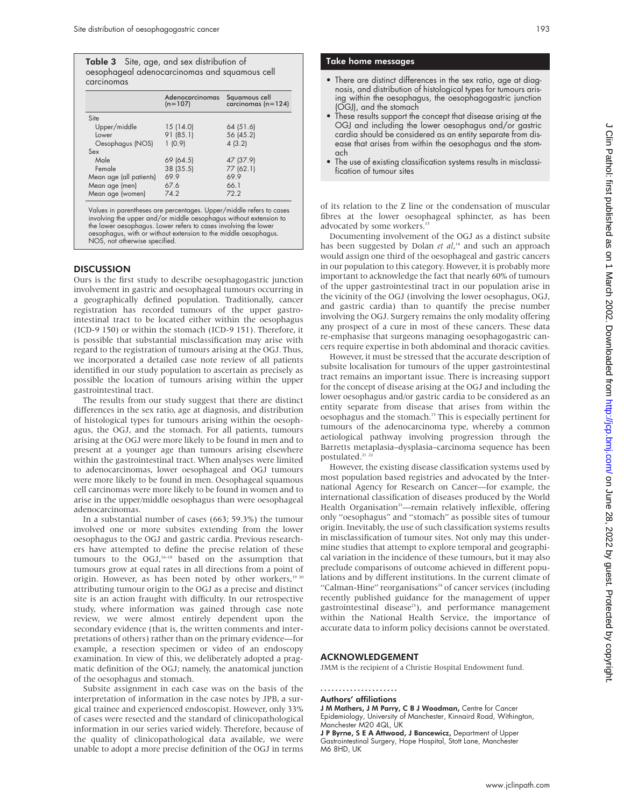|            | <b>Table 3</b> Site, age, and sex distribution of |
|------------|---------------------------------------------------|
|            | oesophageal adenocarcinomas and squamous cell     |
| carcinomas |                                                   |

|                         |           | Adenocarcinomas Squamous cell<br>(n=107) carcinomas (n=124) |
|-------------------------|-----------|-------------------------------------------------------------|
| Site                    |           |                                                             |
| Upper/middle            | 15(14.0)  | 64(51.6)                                                    |
| Lower                   | 91(85.1)  | 56 (45.2)                                                   |
| Oesophagus (NOS)        | 1(0.9)    | 4(3.2)                                                      |
| Sex                     |           |                                                             |
| Male                    | 69 (64.5) | 47 (37.9)                                                   |
| Female                  | 38 (35.5) | 77 (62.1)                                                   |
| Mean age (all patients) | 69.9      | 69.9                                                        |
| Mean age (men)          | 67.6      | 66.1                                                        |
| Mean age (women)        | 74.2      | 72.2                                                        |

Values in parentheses are percentages. Upper/middle refers to cases involving the upper and/or middle oesophagus without extension to the lower oesophagus. Lower refers to cases involving the lower oesophagus, with or without extension to the middle oesophagus. NOS, not otherwise specified.

#### **DISCUSSION**

Ours is the first study to describe oesophagogastric junction involvement in gastric and oesophageal tumours occurring in a geographically defined population. Traditionally, cancer registration has recorded tumours of the upper gastrointestinal tract to be located either within the oesophagus (ICD-9 150) or within the stomach (ICD-9 151). Therefore, it is possible that substantial misclassification may arise with regard to the registration of tumours arising at the OGJ. Thus, we incorporated a detailed case note review of all patients identified in our study population to ascertain as precisely as possible the location of tumours arising within the upper gastrointestinal tract.

The results from our study suggest that there are distinct differences in the sex ratio, age at diagnosis, and distribution of histological types for tumours arising within the oesophagus, the OGJ, and the stomach. For all patients, tumours arising at the OGJ were more likely to be found in men and to present at a younger age than tumours arising elsewhere within the gastrointestinal tract. When analyses were limited to adenocarcinomas, lower oesophageal and OGJ tumours were more likely to be found in men. Oesophageal squamous cell carcinomas were more likely to be found in women and to arise in the upper/middle oesophagus than were oesophageal adenocarcinomas.

In a substantial number of cases (663; 59.3%) the tumour involved one or more subsites extending from the lower oesophagus to the OGJ and gastric cardia. Previous researchers have attempted to define the precise relation of these tumours to the OGJ, $16-18$  based on the assumption that tumours grow at equal rates in all directions from a point of origin. However, as has been noted by other workers,<sup>19 20</sup> attributing tumour origin to the OGJ as a precise and distinct site is an action fraught with difficulty. In our retrospective study, where information was gained through case note review, we were almost entirely dependent upon the secondary evidence (that is, the written comments and interpretations of others) rather than on the primary evidence—for example, a resection specimen or video of an endoscopy examination. In view of this, we deliberately adopted a pragmatic definition of the OGJ; namely, the anatomical junction of the oesophagus and stomach.

Subsite assignment in each case was on the basis of the interpretation of information in the case notes by JPB, a surgical trainee and experienced endoscopist. However, only 33% of cases were resected and the standard of clinicopathological information in our series varied widely. Therefore, because of the quality of clinicopathological data available, we were unable to adopt a more precise definition of the OGJ in terms

#### Take home messages

- There are distinct differences in the sex ratio, age at diagnosis, and distribution of histological types for tumours arising within the oesophagus, the oesophagogastric junction (OGJ), and the stomach
- These results support the concept that disease arising at the OGJ and including the lower oesophagus and/or gastric cardia should be considered as an entity separate from disease that arises from within the oesophagus and the stomach
- The use of existing classification systems results in misclassification of tumour sites

of its relation to the Z line or the condensation of muscular fibres at the lower oesophageal sphincter, as has been advocated by some workers.<sup>15</sup>

Documenting involvement of the OGJ as a distinct subsite has been suggested by Dolan *et al*, <sup>14</sup> and such an approach would assign one third of the oesophageal and gastric cancers in our population to this category. However, it is probably more important to acknowledge the fact that nearly 60% of tumours of the upper gastrointestinal tract in our population arise in the vicinity of the OGJ (involving the lower oesophagus, OGJ, and gastric cardia) than to quantify the precise number involving the OGJ. Surgery remains the only modality offering any prospect of a cure in most of these cancers. These data re-emphasise that surgeons managing oesophagogastric cancers require expertise in both abdominal and thoracic cavities.

However, it must be stressed that the accurate description of subsite localisation for tumours of the upper gastrointestinal tract remains an important issue. There is increasing support for the concept of disease arising at the OGJ and including the lower oesophagus and/or gastric cardia to be considered as an entity separate from disease that arises from within the oesophagus and the stomach.15 This is especially pertinent for tumours of the adenocarcinoma type, whereby a common aetiological pathway involving progression through the Barretts metaplasia–dysplasia–carcinoma sequence has been postulated.<sup>21</sup> <sup>2</sup>

However, the existing disease classification systems used by most population based registries and advocated by the International Agency for Research on Cancer—for example, the international classification of diseases produced by the World Health Organisation<sup>23</sup>—remain relatively inflexible, offering only "oesophagus" and "stomach" as possible sites of tumour origin. Inevitably, the use of such classification systems results in misclassification of tumour sites. Not only may this undermine studies that attempt to explore temporal and geographical variation in the incidence of these tumours, but it may also preclude comparisons of outcome achieved in different populations and by different institutions. In the current climate of "Calman-Hine" reorganisations<sup>24</sup> of cancer services (including recently published guidance for the management of upper gastrointestinal disease<sup>25</sup>), and performance management within the National Health Service, the importance of accurate data to inform policy decisions cannot be overstated.

#### ACKNOWLEDGEMENT

JMM is the recipient of a Christie Hospital Endowment fund.

.....................

Authors' affiliations J M Mathers, J M Parry, C B J Woodman, Centre for Cancer

Epidemiology, University of Manchester, Kinnaird Road, Withington, Manchester M20 4QL, UK

J P Byrne, S E A Attwood, J Bancewicz, Department of Upper Gastrointestinal Surgery, Hope Hospital, Stott Lane, Manchester M6 8HD, UK